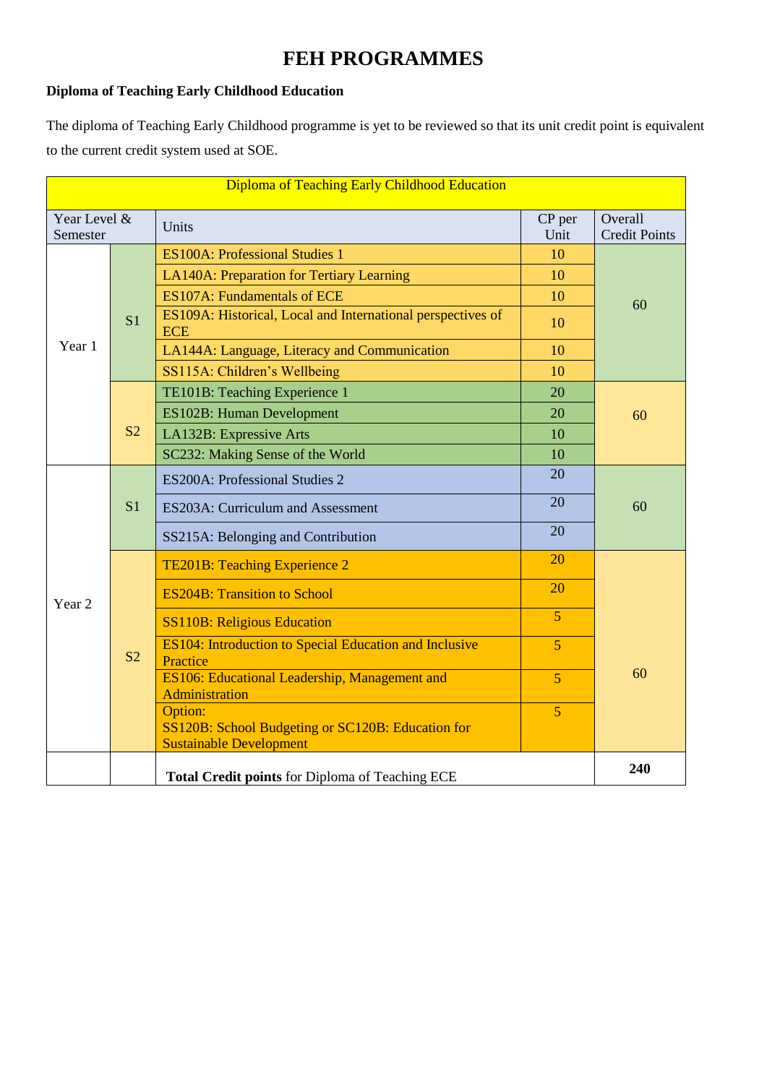# **FEH PROGRAMMES**

### **Diploma of Teaching Early Childhood Education**

The diploma of Teaching Early Childhood programme is yet to be reviewed so that its unit credit point is equivalent to the current credit system used at SOE.

| Diploma of Teaching Early Childhood Education |                                                        |                                                                           |                |                                 |  |
|-----------------------------------------------|--------------------------------------------------------|---------------------------------------------------------------------------|----------------|---------------------------------|--|
| Year Level &<br>Semester                      |                                                        | Units                                                                     | CP per<br>Unit | Overall<br><b>Credit Points</b> |  |
|                                               |                                                        | <b>ES100A: Professional Studies 1</b>                                     | 10             |                                 |  |
|                                               |                                                        | LA140A: Preparation for Tertiary Learning                                 | 10             |                                 |  |
|                                               |                                                        | <b>ES107A: Fundamentals of ECE</b>                                        | 10             | 60                              |  |
|                                               | S <sub>1</sub>                                         | ES109A: Historical, Local and International perspectives of<br><b>ECE</b> | 10             |                                 |  |
| Year 1                                        |                                                        | LA144A: Language, Literacy and Communication                              | 10             |                                 |  |
|                                               |                                                        | SS115A: Children's Wellbeing                                              | 10             |                                 |  |
|                                               |                                                        | TE101B: Teaching Experience 1                                             | 20             |                                 |  |
|                                               |                                                        | <b>ES102B: Human Development</b>                                          | 20             | 60                              |  |
|                                               | S <sub>2</sub>                                         | LA132B: Expressive Arts                                                   | 10             |                                 |  |
|                                               |                                                        | SC232: Making Sense of the World                                          | 10             |                                 |  |
|                                               |                                                        | ES200A: Professional Studies 2                                            | 20             |                                 |  |
|                                               | S <sub>1</sub>                                         | ES203A: Curriculum and Assessment                                         | 20             | 60                              |  |
|                                               |                                                        | SS215A: Belonging and Contribution                                        | 20             |                                 |  |
|                                               |                                                        | TE201B: Teaching Experience 2                                             | 20             |                                 |  |
| Year <sub>2</sub>                             |                                                        | <b>ES204B: Transition to School</b>                                       | 20             |                                 |  |
|                                               |                                                        | <b>SS110B: Religious Education</b>                                        | $\overline{5}$ |                                 |  |
|                                               | S <sub>2</sub>                                         | ES104: Introduction to Special Education and Inclusive<br>Practice        | $\overline{5}$ |                                 |  |
|                                               |                                                        | ES106: Educational Leadership, Management and<br>Administration           | $\overline{5}$ | 60                              |  |
|                                               |                                                        | Option:                                                                   | $\overline{5}$ |                                 |  |
|                                               |                                                        | SS120B: School Budgeting or SC120B: Education for                         |                |                                 |  |
|                                               |                                                        | <b>Sustainable Development</b>                                            |                |                                 |  |
|                                               | 240<br>Total Credit points for Diploma of Teaching ECE |                                                                           |                |                                 |  |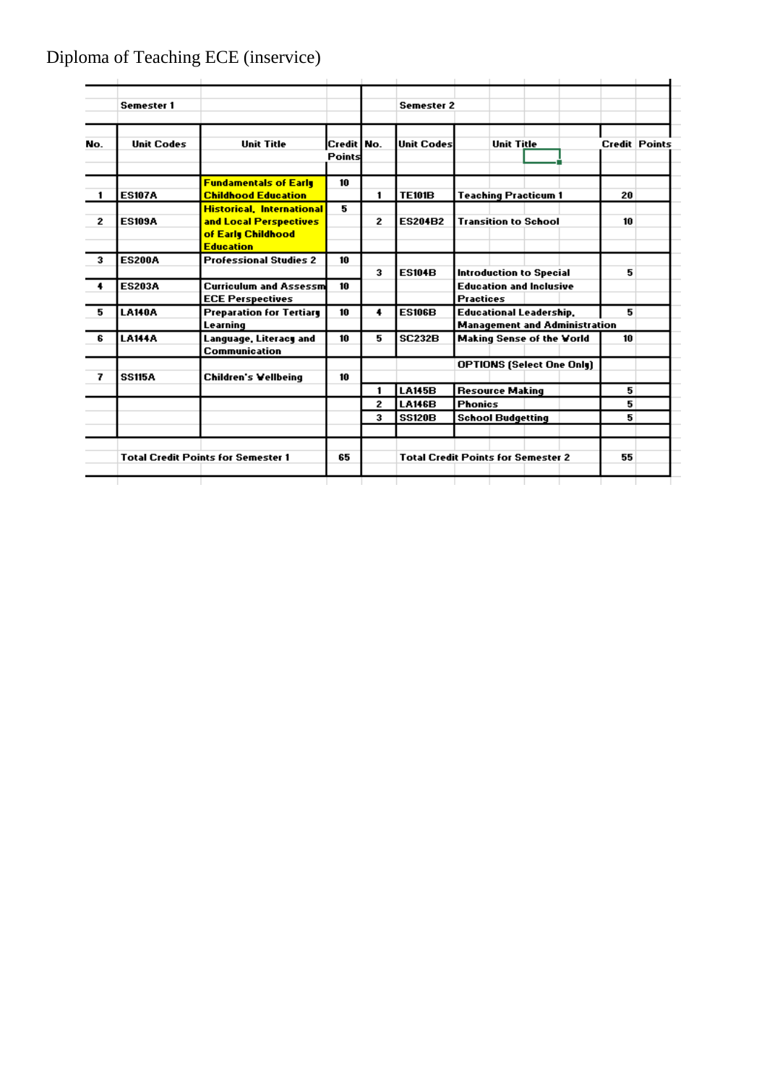# Diploma of Teaching ECE (inservice)

|     | <b>Semester 1</b> |                                           |                        |              | <b>Semester 2</b> |                                           |                      |  |
|-----|-------------------|-------------------------------------------|------------------------|--------------|-------------------|-------------------------------------------|----------------------|--|
| No. | <b>Unit Codes</b> | <b>Unit Title</b>                         | Credit   No.<br>Points |              | <b>Unit Codes</b> | <b>Unit Title</b>                         | <b>Credit Points</b> |  |
|     |                   | <b>Fundamentals of Early</b>              | 10                     |              |                   |                                           |                      |  |
| 1   | <b>ES107A</b>     | <b>Childhood Education</b>                |                        | 1            | <b>TE101B</b>     | <b>Teaching Practicum 1</b>               | 20                   |  |
|     |                   | <b>Historical, International</b>          | 5                      |              |                   |                                           |                      |  |
| 2   | <b>ES109A</b>     | and Local Perspectives                    |                        | 2            | <b>ES204B2</b>    | <b>Transition to School</b>               | 10                   |  |
|     |                   | of Early Childhood                        |                        |              |                   |                                           |                      |  |
|     |                   | <b>Education</b>                          |                        |              |                   |                                           |                      |  |
| 3   | <b>ES200A</b>     | <b>Professional Studies 2</b>             | 10                     |              |                   |                                           |                      |  |
|     |                   |                                           |                        | 3            | <b>ES104B</b>     | <b>Introduction to Special</b>            | 5                    |  |
| 4   | <b>ES203A</b>     | Curriculum and Assessm                    | 10                     |              |                   | <b>Education and Inclusive</b>            |                      |  |
|     |                   | <b>ECE Perspectives</b>                   |                        |              |                   | <b>Practices</b>                          |                      |  |
| 5   | <b>LA140A</b>     | <b>Preparation for Tertiary</b>           | 10                     | 4            | <b>ES106B</b>     | <b>Educational Leadership,</b>            | 5                    |  |
|     |                   | Learning                                  |                        |              |                   | <b>Management and Administration</b>      |                      |  |
| 6   | <b>LA144A</b>     | Language, Literacy and                    | 10                     | 5            | <b>SC232B</b>     | <b>Making Sense of the Vorld</b>          | 10                   |  |
|     |                   | <b>Communication</b>                      |                        |              |                   |                                           |                      |  |
|     |                   |                                           |                        |              |                   | <b>OPTIONS (Select One Only)</b>          |                      |  |
| 7   | <b>SS115A</b>     | <b>Children's Wellbeing</b>               | 10                     |              |                   |                                           |                      |  |
|     |                   |                                           |                        | 1            | <b>LA145B</b>     | <b>Resource Making</b>                    | 5                    |  |
|     |                   |                                           |                        | $\mathbf{z}$ | <b>LA146B</b>     | <b>Phonics</b>                            | 5                    |  |
|     |                   |                                           |                        | 3            | <b>SS120B</b>     | <b>School Budgetting</b>                  | 5                    |  |
|     |                   | <b>Total Credit Points for Semester 1</b> | 65                     |              |                   | <b>Total Credit Points for Semester 2</b> | 55                   |  |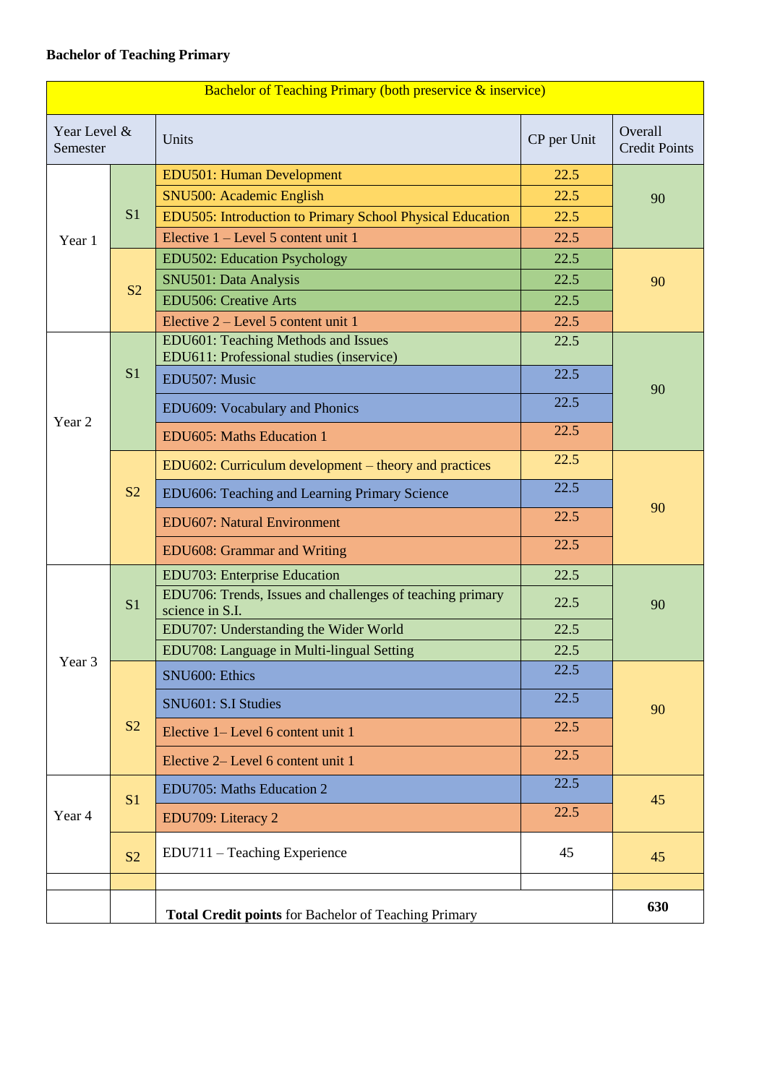### **Bachelor of Teaching Primary**

|                                                             | <b>Bachelor of Teaching Primary (both preservice &amp; inservice)</b> |                                                                                 |             |                                 |  |
|-------------------------------------------------------------|-----------------------------------------------------------------------|---------------------------------------------------------------------------------|-------------|---------------------------------|--|
| Year Level &<br>Semester                                    |                                                                       | Units                                                                           | CP per Unit | Overall<br><b>Credit Points</b> |  |
|                                                             |                                                                       | <b>EDU501: Human Development</b>                                                | 22.5        |                                 |  |
|                                                             |                                                                       | SNU500: Academic English                                                        | 22.5        | 90                              |  |
|                                                             | S <sub>1</sub>                                                        | EDU505: Introduction to Primary School Physical Education                       | 22.5        |                                 |  |
| Year 1                                                      |                                                                       | Elective $1 -$ Level 5 content unit 1                                           | 22.5        |                                 |  |
|                                                             |                                                                       | EDU502: Education Psychology                                                    | 22.5        |                                 |  |
|                                                             | S <sub>2</sub>                                                        | SNU501: Data Analysis                                                           | 22.5        | 90                              |  |
|                                                             |                                                                       | <b>EDU506: Creative Arts</b>                                                    | 22.5        |                                 |  |
|                                                             |                                                                       | Elective 2 – Level 5 content unit 1                                             | 22.5        |                                 |  |
|                                                             |                                                                       | EDU601: Teaching Methods and Issues<br>EDU611: Professional studies (inservice) | 22.5        |                                 |  |
|                                                             | S <sub>1</sub>                                                        | EDU507: Music                                                                   | 22.5        |                                 |  |
| Year 2                                                      |                                                                       | EDU609: Vocabulary and Phonics                                                  | 22.5        | 90                              |  |
|                                                             |                                                                       | EDU605: Maths Education 1                                                       | 22.5        |                                 |  |
|                                                             |                                                                       | EDU602: Curriculum development – theory and practices                           | 22.5        |                                 |  |
|                                                             | S <sub>2</sub>                                                        | EDU606: Teaching and Learning Primary Science                                   | 22.5        | 90                              |  |
|                                                             |                                                                       | <b>EDU607: Natural Environment</b>                                              | 22.5        |                                 |  |
|                                                             |                                                                       | EDU608: Grammar and Writing                                                     | 22.5        |                                 |  |
|                                                             |                                                                       | <b>EDU703: Enterprise Education</b>                                             | 22.5        |                                 |  |
|                                                             | S <sub>1</sub>                                                        | EDU706: Trends, Issues and challenges of teaching primary<br>science in S.I.    | 22.5        | 90                              |  |
|                                                             |                                                                       | EDU707: Understanding the Wider World                                           | 22.5        |                                 |  |
|                                                             |                                                                       | EDU708: Language in Multi-lingual Setting                                       | 22.5        |                                 |  |
| Year 3                                                      |                                                                       | SNU600: Ethics                                                                  | 22.5        |                                 |  |
|                                                             |                                                                       | SNU601: S.I Studies                                                             | 22.5        | 90                              |  |
|                                                             | S <sub>2</sub>                                                        | Elective 1– Level 6 content unit 1                                              | 22.5        |                                 |  |
|                                                             |                                                                       | Elective 2– Level 6 content unit 1                                              | 22.5        |                                 |  |
|                                                             | S <sub>1</sub>                                                        | EDU705: Maths Education 2                                                       | 22.5        | 45                              |  |
| Year 4                                                      |                                                                       | EDU709: Literacy 2                                                              | 22.5        |                                 |  |
|                                                             | S <sub>2</sub>                                                        | EDU711 – Teaching Experience                                                    | 45          | 45                              |  |
|                                                             |                                                                       |                                                                                 |             |                                 |  |
| <b>Total Credit points</b> for Bachelor of Teaching Primary |                                                                       |                                                                                 | 630         |                                 |  |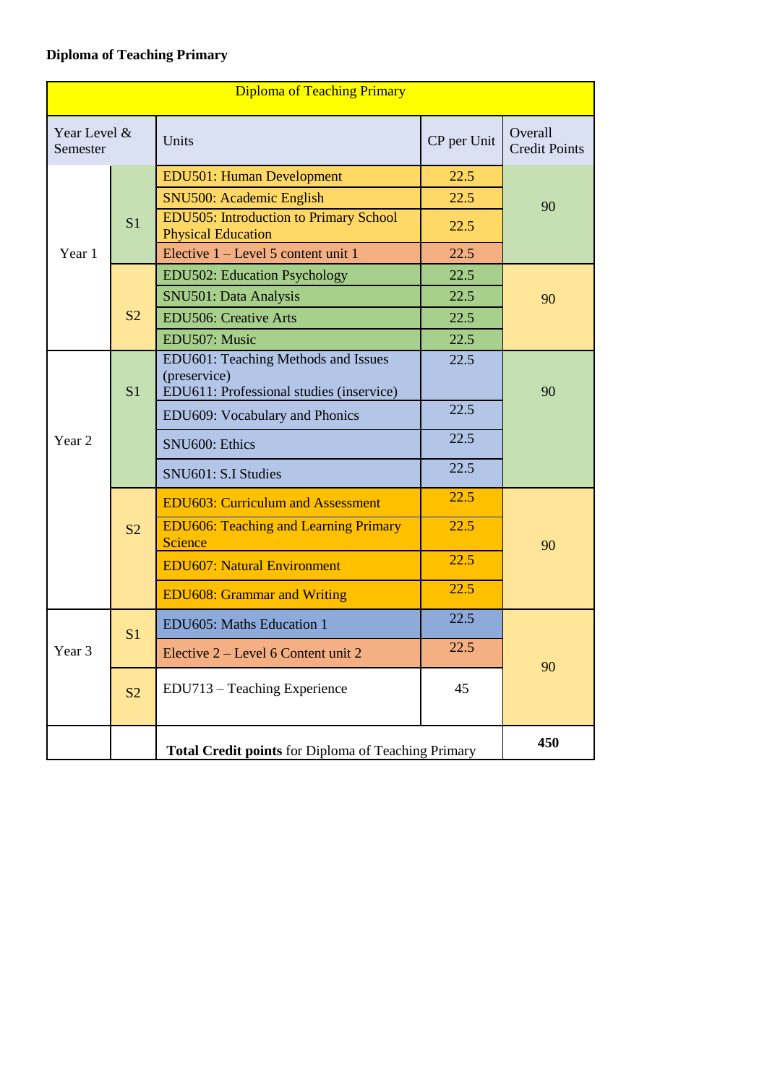# **Diploma of Teaching Primary**

| <b>Diploma of Teaching Primary</b> |                |                                                                                                 |             |                                 |  |
|------------------------------------|----------------|-------------------------------------------------------------------------------------------------|-------------|---------------------------------|--|
| Year Level &<br>Semester           |                | Units                                                                                           | CP per Unit | Overall<br><b>Credit Points</b> |  |
|                                    |                | <b>EDU501: Human Development</b>                                                                | 22.5        |                                 |  |
|                                    |                | SNU500: Academic English                                                                        | 22.5        | 90                              |  |
|                                    | S <sub>1</sub> | <b>EDU505: Introduction to Primary School</b><br><b>Physical Education</b>                      | 22.5        |                                 |  |
| Year 1                             |                | Elective $1 - \text{Level } 5$ content unit 1                                                   | 22.5        |                                 |  |
|                                    |                | EDU502: Education Psychology                                                                    | 22.5        |                                 |  |
|                                    |                | SNU501: Data Analysis                                                                           | 22.5        | 90                              |  |
|                                    | S <sub>2</sub> | <b>EDU506: Creative Arts</b>                                                                    | 22.5        |                                 |  |
|                                    |                | EDU507: Music                                                                                   | 22.5        |                                 |  |
|                                    | S <sub>1</sub> | EDU601: Teaching Methods and Issues<br>(preservice)<br>EDU611: Professional studies (inservice) | 22.5        | 90                              |  |
|                                    |                | EDU609: Vocabulary and Phonics                                                                  | 22.5        |                                 |  |
| Year <sub>2</sub>                  |                | SNU600: Ethics                                                                                  | 22.5        |                                 |  |
|                                    |                | SNU601: S.I Studies                                                                             | 22.5        |                                 |  |
|                                    |                | <b>EDU603: Curriculum and Assessment</b>                                                        | 22.5        |                                 |  |
|                                    | S <sub>2</sub> | <b>EDU606: Teaching and Learning Primary</b><br>Science                                         | 22.5        | 90                              |  |
|                                    |                | <b>EDU607: Natural Environment</b>                                                              | 22.5        |                                 |  |
|                                    |                | <b>EDU608: Grammar and Writing</b>                                                              | 22.5        |                                 |  |
|                                    | S <sub>1</sub> | EDU605: Maths Education 1                                                                       | 22.5        |                                 |  |
| Year 3                             |                | Elective 2 – Level 6 Content unit 2                                                             | 22.5        | 90                              |  |
|                                    | S <sub>2</sub> | EDU713 - Teaching Experience                                                                    | 45          |                                 |  |
|                                    |                | Total Credit points for Diploma of Teaching Primary                                             |             | 450                             |  |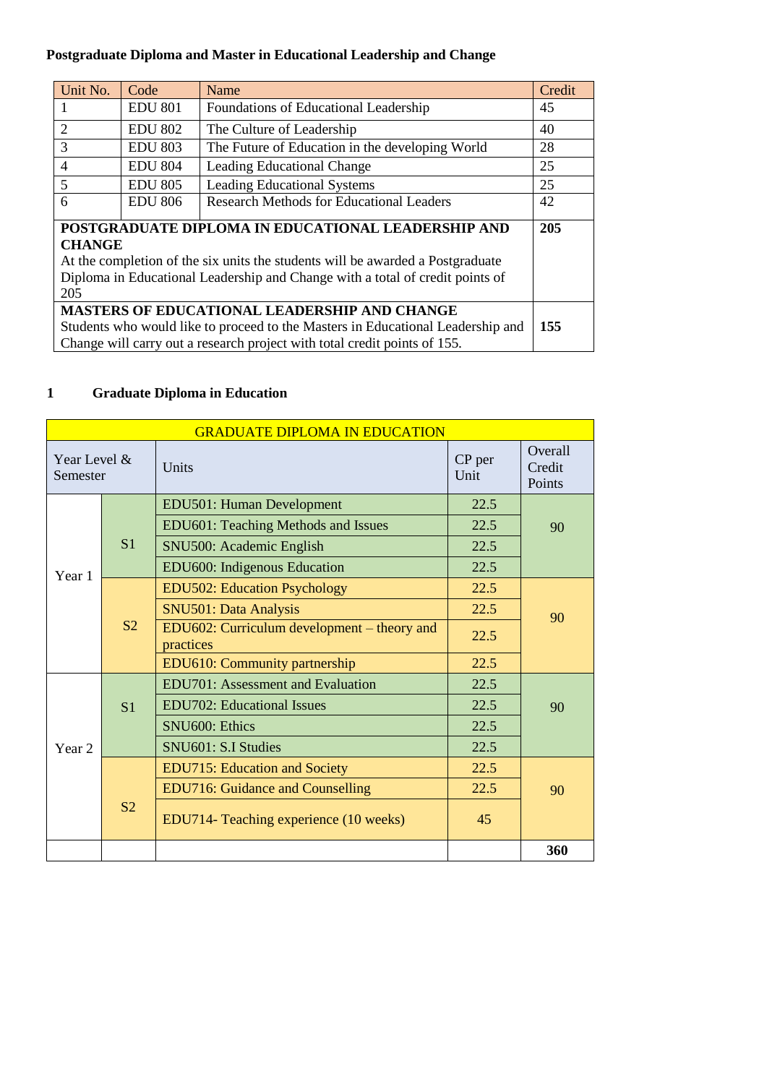# **Postgraduate Diploma and Master in Educational Leadership and Change**

| Unit No.                                                                               | Code           | Name                                            | Credit |  |
|----------------------------------------------------------------------------------------|----------------|-------------------------------------------------|--------|--|
| $\mathbf{1}$                                                                           | <b>EDU 801</b> | Foundations of Educational Leadership           | 45     |  |
| 2                                                                                      | <b>EDU 802</b> | The Culture of Leadership                       | 40     |  |
| 3                                                                                      | <b>EDU 803</b> | The Future of Education in the developing World | 28     |  |
| $\overline{4}$                                                                         | <b>EDU 804</b> | <b>Leading Educational Change</b>               | 25     |  |
| 5                                                                                      | <b>EDU 805</b> | <b>Leading Educational Systems</b>              | 25     |  |
| 6                                                                                      | <b>EDU 806</b> | <b>Research Methods for Educational Leaders</b> | 42     |  |
| POSTGRADUATE DIPLOMA IN EDUCATIONAL LEADERSHIP AND                                     |                |                                                 |        |  |
| <b>CHANGE</b>                                                                          |                |                                                 |        |  |
| At the completion of the six units the students will be awarded a Postgraduate         |                |                                                 |        |  |
| Diploma in Educational Leadership and Change with a total of credit points of          |                |                                                 |        |  |
| 205                                                                                    |                |                                                 |        |  |
| <b>MASTERS OF EDUCATIONAL LEADERSHIP AND CHANGE</b>                                    |                |                                                 |        |  |
| 155<br>Students who would like to proceed to the Masters in Educational Leadership and |                |                                                 |        |  |
| Change will carry out a research project with total credit points of 155.              |                |                                                 |        |  |

# **1 Graduate Diploma in Education**

|                          | <b>GRADUATE DIPLOMA IN EDUCATION</b> |                                                          |                |                             |  |  |
|--------------------------|--------------------------------------|----------------------------------------------------------|----------------|-----------------------------|--|--|
| Year Level &<br>Semester |                                      | Units                                                    | CP per<br>Unit | Overall<br>Credit<br>Points |  |  |
|                          |                                      | EDU501: Human Development                                | 22.5           |                             |  |  |
|                          |                                      | EDU601: Teaching Methods and Issues                      | 22.5           | 90                          |  |  |
|                          | S <sub>1</sub>                       | SNU500: Academic English                                 | 22.5           |                             |  |  |
| Year 1                   |                                      | EDU600: Indigenous Education                             | 22.5           |                             |  |  |
|                          |                                      | <b>EDU502: Education Psychology</b>                      | 22.5           |                             |  |  |
|                          | S <sub>2</sub>                       | <b>SNU501: Data Analysis</b>                             | 22.5           | 90                          |  |  |
|                          |                                      | EDU602: Curriculum development – theory and<br>practices | 22.5           |                             |  |  |
|                          |                                      | EDU610: Community partnership                            | 22.5           |                             |  |  |
|                          | S <sub>1</sub>                       | EDU701: Assessment and Evaluation                        | 22.5           |                             |  |  |
|                          |                                      | <b>EDU702: Educational Issues</b>                        | 22.5           | 90                          |  |  |
|                          |                                      | SNU600: Ethics                                           | 22.5           |                             |  |  |
| Year <sub>2</sub>        |                                      | SNU601: S.I Studies                                      | 22.5           |                             |  |  |
|                          |                                      | <b>EDU715: Education and Society</b>                     | 22.5           |                             |  |  |
|                          |                                      | <b>EDU716: Guidance and Counselling</b>                  | 22.5           | 90                          |  |  |
|                          | S <sub>2</sub>                       | EDU714- Teaching experience (10 weeks)                   | 45             |                             |  |  |
|                          |                                      |                                                          |                | 360                         |  |  |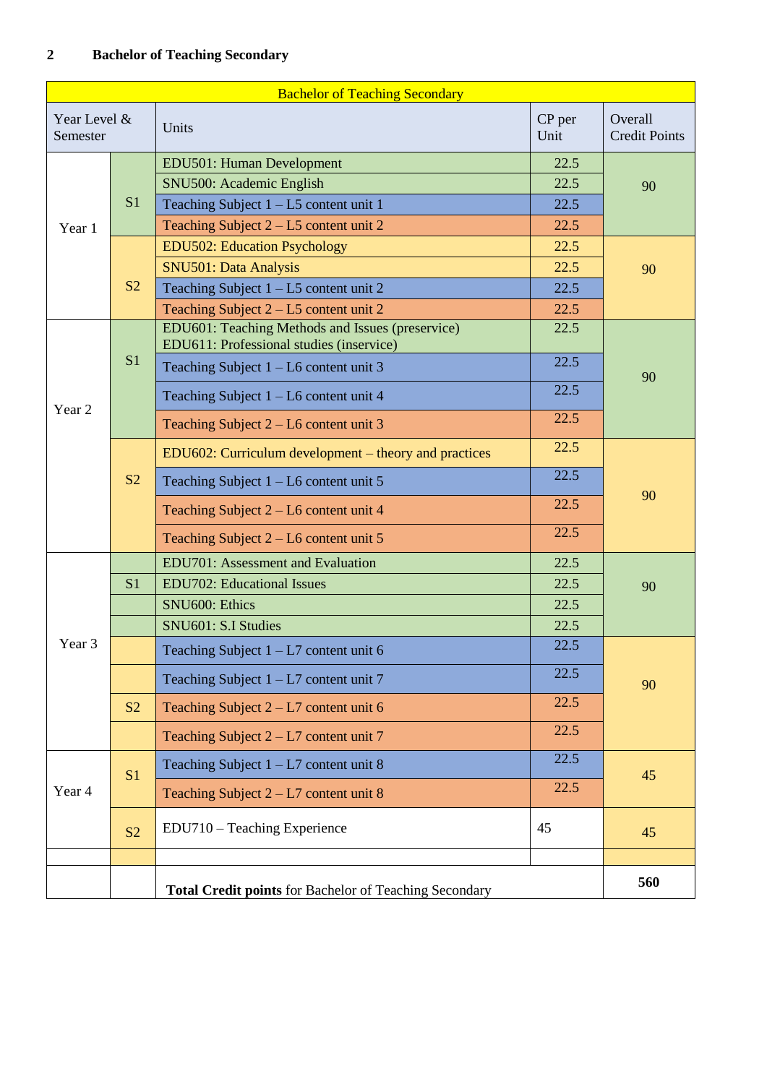| <b>Bachelor of Teaching Secondary</b> |                |                                                                                              |                |                                 |
|---------------------------------------|----------------|----------------------------------------------------------------------------------------------|----------------|---------------------------------|
| Year Level &<br>Semester              |                | Units                                                                                        | CP per<br>Unit | Overall<br><b>Credit Points</b> |
|                                       |                | EDU501: Human Development                                                                    | 22.5           |                                 |
|                                       |                | SNU500: Academic English                                                                     | 22.5           | 90                              |
|                                       | S <sub>1</sub> | Teaching Subject $1 - L5$ content unit 1                                                     | 22.5           |                                 |
| Year 1                                |                | Teaching Subject $2 - L5$ content unit 2                                                     | 22.5           |                                 |
|                                       |                | <b>EDU502: Education Psychology</b>                                                          | 22.5           |                                 |
|                                       |                | SNU501: Data Analysis                                                                        | 22.5           | 90                              |
|                                       | S <sub>2</sub> | Teaching Subject $1 - L5$ content unit 2                                                     | 22.5           |                                 |
|                                       |                | Teaching Subject $2 - L5$ content unit 2                                                     | 22.5           |                                 |
|                                       |                | EDU601: Teaching Methods and Issues (preservice)<br>EDU611: Professional studies (inservice) | 22.5           |                                 |
|                                       | S <sub>1</sub> | Teaching Subject $1 - L6$ content unit 3                                                     | 22.5           | 90                              |
| Year 2                                |                | Teaching Subject $1 - L6$ content unit 4                                                     | 22.5           |                                 |
|                                       |                | Teaching Subject $2 - L6$ content unit 3                                                     | 22.5           |                                 |
|                                       |                | EDU602: Curriculum development – theory and practices                                        | 22.5           |                                 |
|                                       | S <sub>2</sub> | Teaching Subject $1 - L6$ content unit 5                                                     | 22.5           | 90                              |
|                                       |                | Teaching Subject 2 - L6 content unit 4                                                       | 22.5           |                                 |
|                                       |                | Teaching Subject $2 - L6$ content unit 5                                                     | 22.5           |                                 |
|                                       |                | <b>EDU701:</b> Assessment and Evaluation                                                     | 22.5           |                                 |
|                                       | S <sub>1</sub> | <b>EDU702: Educational Issues</b>                                                            | 22.5           | 90                              |
|                                       |                | SNU600: Ethics                                                                               | 22.5           |                                 |
|                                       |                | SNU601: S.I Studies                                                                          | 22.5           |                                 |
| Year <sub>3</sub>                     |                | Teaching Subject $1 - L7$ content unit 6                                                     | 22.5           |                                 |
|                                       |                | Teaching Subject $1 - L7$ content unit 7                                                     | 22.5           | 90                              |
|                                       | S <sub>2</sub> | Teaching Subject $2 - L7$ content unit 6                                                     | 22.5           |                                 |
|                                       |                | Teaching Subject $2 - L7$ content unit 7                                                     | 22.5           |                                 |
|                                       | S <sub>1</sub> | Teaching Subject $1 - L7$ content unit 8                                                     | 22.5           | 45                              |
| Year 4                                |                | Teaching Subject $2 - L7$ content unit 8                                                     | 22.5           |                                 |
|                                       | S <sub>2</sub> | EDU710 - Teaching Experience                                                                 | 45             | 45                              |
|                                       |                |                                                                                              |                |                                 |
|                                       |                | Total Credit points for Bachelor of Teaching Secondary                                       |                | 560                             |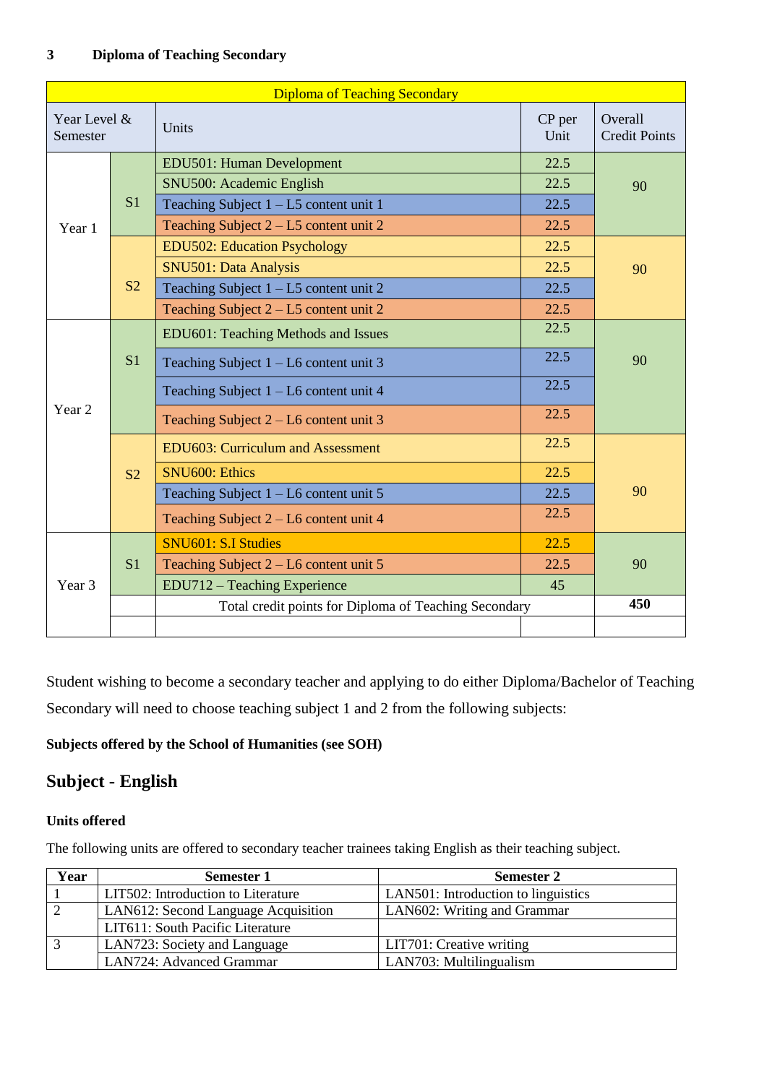| <b>Diploma of Teaching Secondary</b> |                |                                                       |                |                                 |
|--------------------------------------|----------------|-------------------------------------------------------|----------------|---------------------------------|
| Year Level &<br>Semester             |                | Units                                                 | CP per<br>Unit | Overall<br><b>Credit Points</b> |
|                                      |                | EDU501: Human Development                             | 22.5           |                                 |
|                                      |                | SNU500: Academic English                              | 22.5           | 90                              |
|                                      | S <sub>1</sub> | Teaching Subject $1 - L5$ content unit 1              | 22.5           |                                 |
| Year 1                               |                | Teaching Subject $2 - L5$ content unit 2              | 22.5           |                                 |
|                                      |                | <b>EDU502: Education Psychology</b>                   | 22.5           |                                 |
|                                      |                | SNU501: Data Analysis                                 | 22.5           | 90                              |
|                                      | S <sub>2</sub> | Teaching Subject 1 - L5 content unit 2                | 22.5           |                                 |
|                                      |                | Teaching Subject $2 - L5$ content unit 2              | 22.5           |                                 |
|                                      |                | EDU601: Teaching Methods and Issues                   | 22.5           |                                 |
|                                      | S <sub>1</sub> | Teaching Subject $1 - L6$ content unit 3              | 22.5           | 90                              |
|                                      |                | Teaching Subject $1 - L6$ content unit 4              | 22.5           |                                 |
| Year <sub>2</sub>                    |                | Teaching Subject $2 - L6$ content unit 3              | 22.5           |                                 |
|                                      |                | <b>EDU603: Curriculum and Assessment</b>              | 22.5           |                                 |
|                                      | S <sub>2</sub> | <b>SNU600: Ethics</b>                                 | 22.5           |                                 |
|                                      |                | Teaching Subject $1 - L6$ content unit 5              | 22.5           | 90                              |
|                                      |                | Teaching Subject $2 - L6$ content unit 4              | 22.5           |                                 |
|                                      |                | SNU601: S.I Studies                                   | 22.5           |                                 |
|                                      | S <sub>1</sub> | Teaching Subject $2 - L6$ content unit 5              | 22.5           | 90                              |
| Year 3                               |                | EDU712 – Teaching Experience                          | 45             |                                 |
|                                      |                | Total credit points for Diploma of Teaching Secondary |                | 450                             |
|                                      |                |                                                       |                |                                 |

Student wishing to become a secondary teacher and applying to do either Diploma/Bachelor of Teaching Secondary will need to choose teaching subject 1 and 2 from the following subjects:

### **Subjects offered by the School of Humanities (see SOH)**

### **Subject - English**

#### **Units offered**

The following units are offered to secondary teacher trainees taking English as their teaching subject.

| Year | <b>Semester 1</b>                   | <b>Semester 2</b>                   |
|------|-------------------------------------|-------------------------------------|
|      | LIT502: Introduction to Literature  | LAN501: Introduction to linguistics |
|      | LAN612: Second Language Acquisition | LAN602: Writing and Grammar         |
|      | LIT611: South Pacific Literature    |                                     |
|      | LAN723: Society and Language        | LIT701: Creative writing            |
|      | LAN724: Advanced Grammar            | LAN703: Multilingualism             |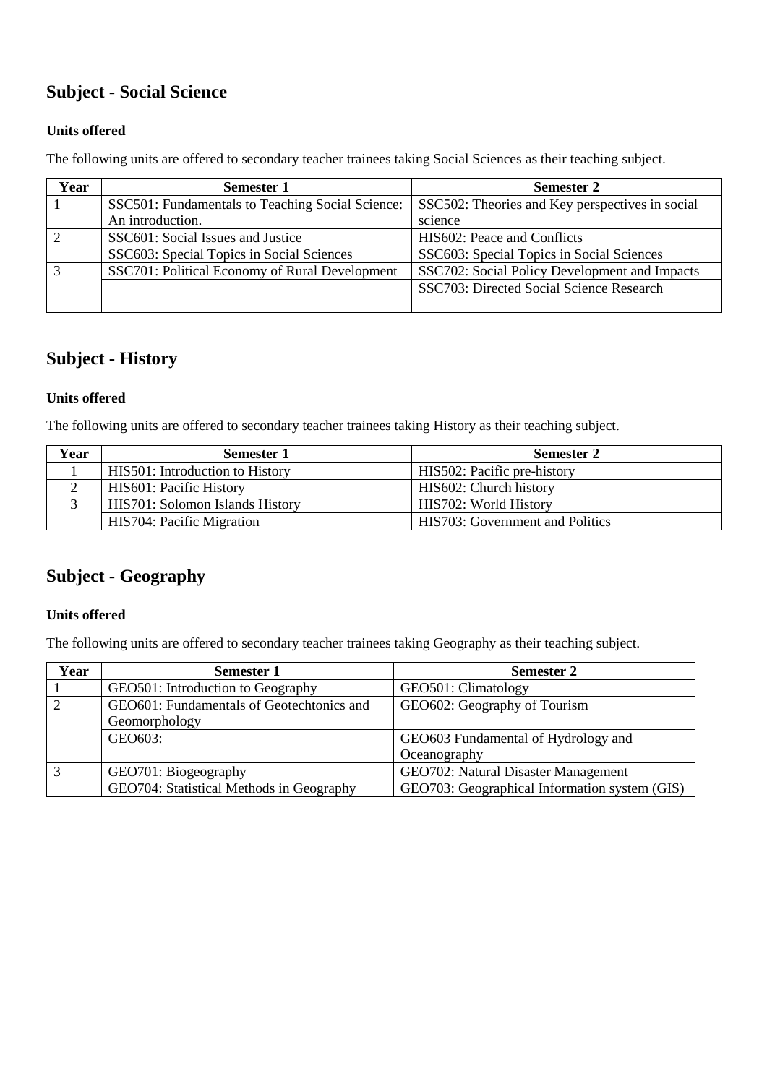# **Subject - Social Science**

#### **Units offered**

The following units are offered to secondary teacher trainees taking Social Sciences as their teaching subject.

| Year | <b>Semester 1</b>                                | <b>Semester 2</b>                               |
|------|--------------------------------------------------|-------------------------------------------------|
|      | SSC501: Fundamentals to Teaching Social Science: | SSC502: Theories and Key perspectives in social |
|      | An introduction.                                 | science                                         |
|      | SSC601: Social Issues and Justice                | HIS602: Peace and Conflicts                     |
|      | SSC603: Special Topics in Social Sciences        | SSC603: Special Topics in Social Sciences       |
|      | SSC701: Political Economy of Rural Development   | SSC702: Social Policy Development and Impacts   |
|      |                                                  | SSC703: Directed Social Science Research        |
|      |                                                  |                                                 |

### **Subject - History**

#### **Units offered**

The following units are offered to secondary teacher trainees taking History as their teaching subject.

| Year | <b>Semester 1</b>               | <b>Semester 2</b>               |
|------|---------------------------------|---------------------------------|
|      | HIS501: Introduction to History | HIS502: Pacific pre-history     |
|      | HIS601: Pacific History         | HIS602: Church history          |
|      | HIS701: Solomon Islands History | HIS702: World History           |
|      | HIS704: Pacific Migration       | HIS703: Government and Politics |

# **Subject - Geography**

#### **Units offered**

The following units are offered to secondary teacher trainees taking Geography as their teaching subject.

| Year              | <b>Semester 1</b>                         | <b>Semester 2</b>                             |
|-------------------|-------------------------------------------|-----------------------------------------------|
|                   | GEO501: Introduction to Geography         | GEO501: Climatology                           |
|                   | GEO601: Fundamentals of Geotechtonics and | GEO602: Geography of Tourism                  |
|                   | Geomorphology                             |                                               |
|                   | GEO603:                                   | GEO603 Fundamental of Hydrology and           |
|                   |                                           | Oceanography                                  |
| $\mathbf{\Omega}$ | GEO701: Biogeography                      | GEO702: Natural Disaster Management           |
|                   | GEO704: Statistical Methods in Geography  | GEO703: Geographical Information system (GIS) |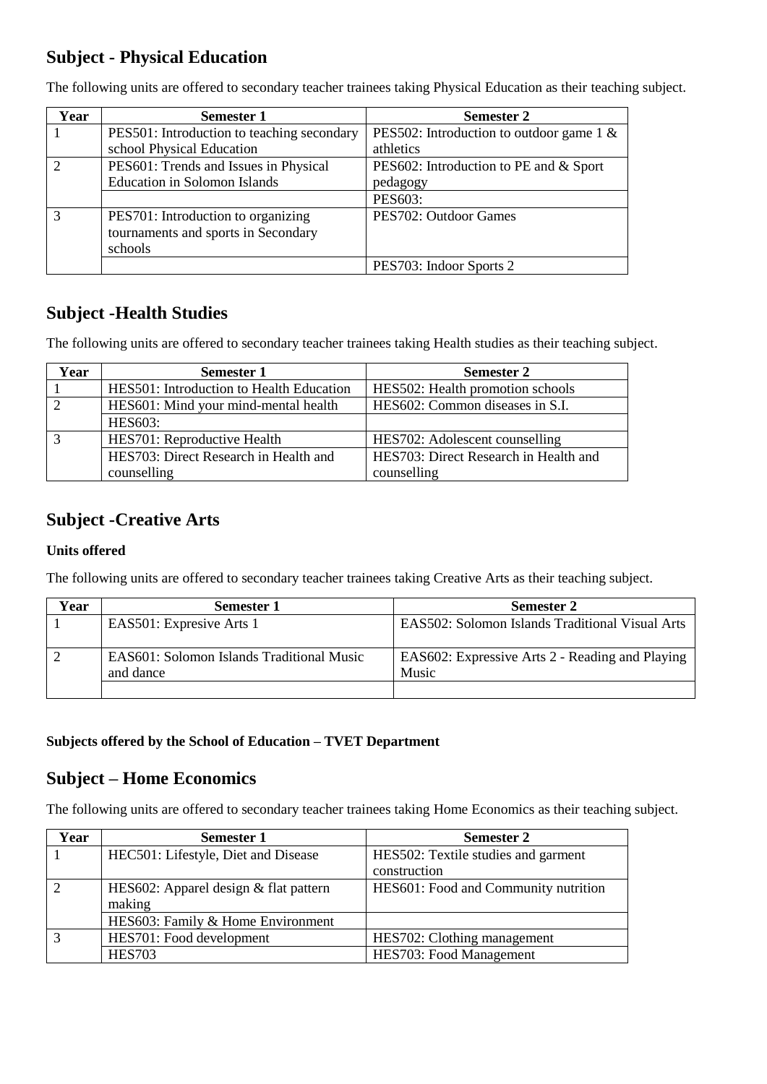# **Subject - Physical Education**

| Year | <b>Semester 1</b>                          | <b>Semester 2</b>                           |
|------|--------------------------------------------|---------------------------------------------|
|      | PES501: Introduction to teaching secondary | PES502: Introduction to outdoor game $1 \&$ |
|      | school Physical Education                  | athletics                                   |
|      | PES601: Trends and Issues in Physical      | PES602: Introduction to PE and & Sport      |
|      | <b>Education in Solomon Islands</b>        | pedagogy                                    |
|      |                                            | PES603:                                     |
|      | PES701: Introduction to organizing         | PES702: Outdoor Games                       |
|      | tournaments and sports in Secondary        |                                             |
|      | schools                                    |                                             |
|      |                                            | PES703: Indoor Sports 2                     |

The following units are offered to secondary teacher trainees taking Physical Education as their teaching subject.

# **Subject -Health Studies**

The following units are offered to secondary teacher trainees taking Health studies as their teaching subject.

| Year | <b>Semester 1</b>                        | <b>Semester 2</b>                     |
|------|------------------------------------------|---------------------------------------|
|      | HES501: Introduction to Health Education | HES502: Health promotion schools      |
|      | HES601: Mind your mind-mental health     | HES602: Common diseases in S.I.       |
|      | <b>HES603:</b>                           |                                       |
|      | HES701: Reproductive Health              | HES702: Adolescent counselling        |
|      | HES703: Direct Research in Health and    | HES703: Direct Research in Health and |
|      | counselling                              | counselling                           |

### **Subject -Creative Arts**

#### **Units offered**

The following units are offered to secondary teacher trainees taking Creative Arts as their teaching subject.

| Year | <b>Semester 1</b>                                       | <b>Semester 2</b>                                        |
|------|---------------------------------------------------------|----------------------------------------------------------|
|      | EAS501: Expresive Arts 1                                | EAS502: Solomon Islands Traditional Visual Arts          |
|      | EAS 601: Solomon Islands Traditional Music<br>and dance | EAS602: Expressive Arts 2 - Reading and Playing<br>Music |
|      |                                                         |                                                          |

#### **Subjects offered by the School of Education – TVET Department**

### **Subject – Home Economics**

The following units are offered to secondary teacher trainees taking Home Economics as their teaching subject.

| Year | <b>Semester 1</b>                       | <b>Semester 2</b>                    |
|------|-----------------------------------------|--------------------------------------|
|      | HEC501: Lifestyle, Diet and Disease     | HES502: Textile studies and garment  |
|      |                                         | construction                         |
|      | HES602: Apparel design $&$ flat pattern | HES601: Food and Community nutrition |
|      | making                                  |                                      |
|      | HES603: Family & Home Environment       |                                      |
|      | HES701: Food development                | HES702: Clothing management          |
|      | <b>HES703</b>                           | HES703: Food Management              |